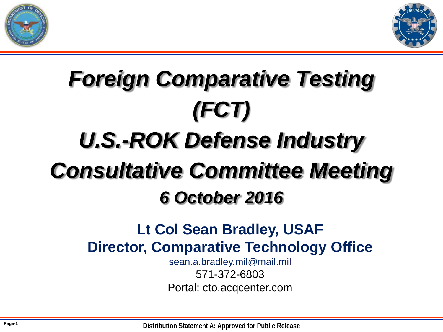



# *Foreign Comparative Testing (FCT) U.S.-ROK Defense Industry Consultative Committee Meeting 6 October 2016*

### **Lt Col Sean Bradley, USAF Director, Comparative Technology Office**

sean.a.bradley.mil@mail.mil 571-372-6803 Portal: cto.acqcenter.com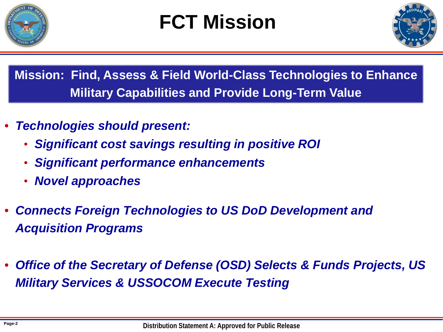

### **FCT Mission**



**Mission: Find, Assess & Field World-Class Technologies to Enhance Military Capabilities and Provide Long-Term Value**

- *Technologies should present:*
	- *Significant cost savings resulting in positive ROI*
	- *Significant performance enhancements*
	- *Novel approaches*
- *Connects Foreign Technologies to US DoD Development and Acquisition Programs*
- *Office of the Secretary of Defense (OSD) Selects & Funds Projects, US Military Services & USSOCOM Execute Testing*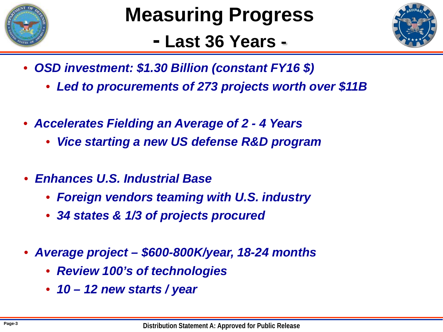

### **- Last 36 Years -**



- *OSD investment: \$1.30 Billion (constant FY16 \$)*
	- *Led to procurements of 273 projects worth over \$11B*
- *Accelerates Fielding an Average of 2 - 4 Years*
	- *Vice starting a new US defense R&D program*
- *Enhances U.S. Industrial Base* 
	- *Foreign vendors teaming with U.S. industry*
	- *34 states & 1/3 of projects procured*
- *Average project – \$600-800K/year, 18-24 months*
	- *Review 100's of technologies*
	- *10 – 12 new starts / year*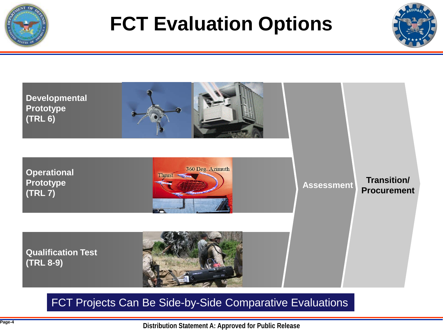

### **FCT Evaluation Options**





#### FCT Projects Can Be Side-by-Side Comparative Evaluations

**Distribution Statement A: Approved for Public Release**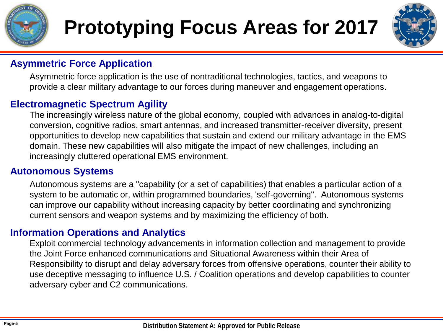

# **Prototyping Focus Areas for 2017**



#### **Asymmetric Force Application**

Asymmetric force application is the use of nontraditional technologies, tactics, and weapons to provide a clear military advantage to our forces during maneuver and engagement operations.

#### **Electromagnetic Spectrum Agility**

The increasingly wireless nature of the global economy, coupled with advances in analog-to-digital conversion, cognitive radios, smart antennas, and increased transmitter-receiver diversity, present opportunities to develop new capabilities that sustain and extend our military advantage in the EMS domain. These new capabilities will also mitigate the impact of new challenges, including an increasingly cluttered operational EMS environment.

#### **Autonomous Systems**

Autonomous systems are a "capability (or a set of capabilities) that enables a particular action of a system to be automatic or, within programmed boundaries, 'self-governing". Autonomous systems can improve our capability without increasing capacity by better coordinating and synchronizing current sensors and weapon systems and by maximizing the efficiency of both.

#### **Information Operations and Analytics**

Exploit commercial technology advancements in information collection and management to provide the Joint Force enhanced communications and Situational Awareness within their Area of Responsibility to disrupt and delay adversary forces from offensive operations, counter their ability to use deceptive messaging to influence U.S. / Coalition operations and develop capabilities to counter adversary cyber and C2 communications.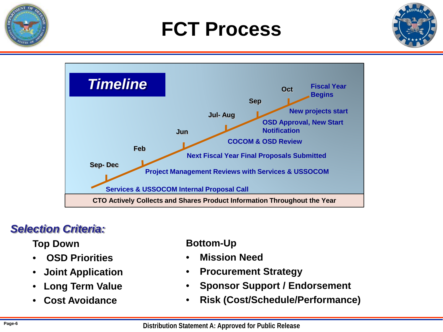

### **FCT Process**





### *Selection Criteria:*

**Top Down**

- **OSD Priorities**
- **Joint Application**
- **Long Term Value**
- **Cost Avoidance**

#### **Bottom-Up**

- **Mission Need**
- **Procurement Strategy**
- **Sponsor Support / Endorsement**
- **Risk (Cost/Schedule/Performance)**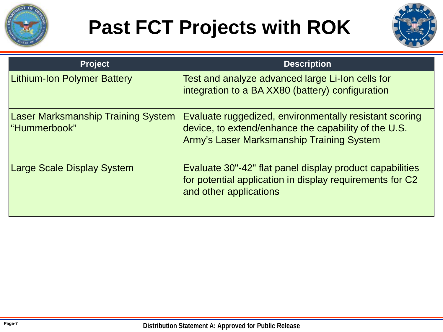

## **Past FCT Projects with ROK**



| <b>Project</b>                                            | <b>Description</b>                                                                                                                                          |
|-----------------------------------------------------------|-------------------------------------------------------------------------------------------------------------------------------------------------------------|
| <b>Lithium-Ion Polymer Battery</b>                        | Test and analyze advanced large Li-Ion cells for<br>integration to a BA XX80 (battery) configuration                                                        |
| <b>Laser Marksmanship Training System</b><br>"Hummerbook" | Evaluate ruggedized, environmentally resistant scoring<br>device, to extend/enhance the capability of the U.S.<br>Army's Laser Marksmanship Training System |
| Large Scale Display System                                | Evaluate 30"-42" flat panel display product capabilities<br>for potential application in display requirements for C2<br>and other applications              |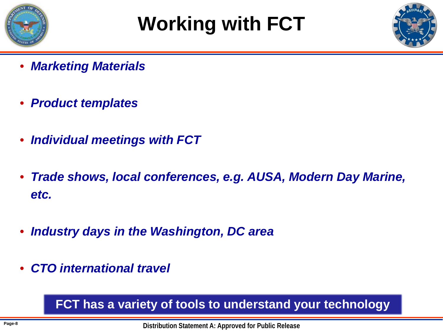

## **Working with FCT**



- *Marketing Materials*
- *Product templates*
- *Individual meetings with FCT*
- *Trade shows, local conferences, e.g. AUSA, Modern Day Marine, etc.*
- *Industry days in the Washington, DC area*
- *CTO international travel*

### **FCT has a variety of tools to understand your technology**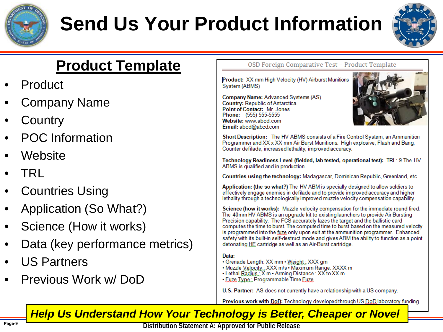

# **Send Us Your Product Information**



### **Product Template**

- **Product**
- Company Name
- **Country**
- POC Information
- Website
- TRL
- **Countries Using**
- Application (So What?)
- Science (How it works)
- Data (key performance metrics)
- US Partners
- Previous Work w/ DoD

OSD Foreign Comparative Test - Product Template

Product: XX mm High Velocity (HV) Airburst Munitions System (ABMS)

Company Name: Advanced Systems (AS) Country: Republic of Antarctica Point of Contact: Mr. Jones Phone: (555) 555-5555 Website: www.abcd.com Email: abcd@abcd.com



Short Description: The HV ABMS consists of a Fire Control System, an Ammunition Programmer and XX x XX mm Air Burst Munitions. High explosive, Flash and Bang, Counter defilade, increased lethality, improved accuracy.

Technology Readiness Level (fielded, lab tested, operational test): TRL: 9 The HV ABMS is qualified and in production.

Countries using the technology: Madagascar, Dominican Republic, Greenland, etc.

Application: (the so what?) The HV ABM is specially designed to allow soldiers to effectively engage enemies in defilade and to provide improved accuracy and higher lethality through a technologically improved muzzle velocity compensation capability.

Science (how it works): Muzzle velocity compensation for the immediate round fired. The 40mm HV ABMS is an upgrade kit to existing launchers to provide Air Bursting Precision capability. The FCS accurately lazes the target and the ballistic card computes the time to burst. The computed time to burst based on the measured velocity is programmed into the fuze only upon exit at the ammunition programmer. Enhanced safety with its built-in self-destruct mode and gives ABM the ability to function as a point detonating HE cartridge as well as an Air-Burst cartridge.

#### Data:

- Grenade Length: XX mm Weight: XXX gm
- . Muzzle Velocity: XXX m/s . Maximum Range: XXXX m
- Lethal Radius : X m Arming Distance : XX to XX m
- Fuze Type: Programmable Time Fuze
- U.S. Partner: AS does not currently have a relationship with a US company.

Previous work with DoD: Technology developed through US DoD laboratory funding.

### *Help Us Understand How Your Technology is Better, Cheaper or Novel*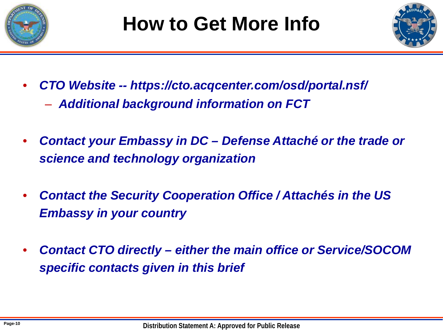



- *CTO Website -- https://cto.acqcenter.com/osd/portal.nsf/*
	- *Additional background information on FCT*
- *Contact your Embassy in DC – Defense Attaché or the trade or science and technology organization*
- *Contact the Security Cooperation Office / Attachés in the US Embassy in your country*
- *Contact CTO directly – either the main office or Service/SOCOM specific contacts given in this brief*